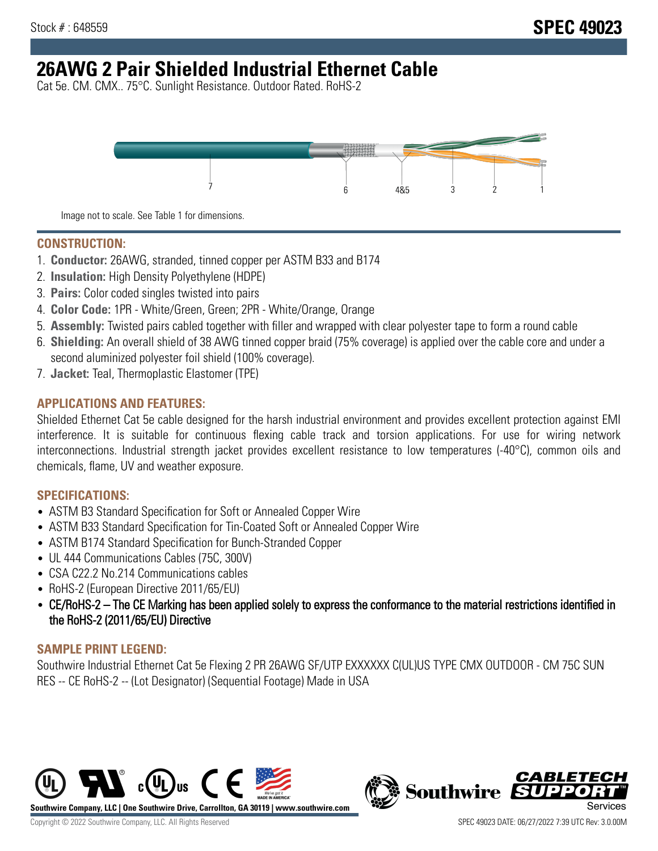# **26AWG 2 Pair Shielded Industrial Ethernet Cable**

Cat 5e. CM. CMX.. 75°C. Sunlight Resistance. Outdoor Rated. RoHS-2



Image not to scale. See Table 1 for dimensions.

#### **CONSTRUCTION:**

- 1. **Conductor:** 26AWG, stranded, tinned copper per ASTM B33 and B174
- 2. **Insulation:** High Density Polyethylene (HDPE)
- 3. **Pairs:** Color coded singles twisted into pairs
- 4. **Color Code:** 1PR White/Green, Green; 2PR White/Orange, Orange
- 5. **Assembly:** Twisted pairs cabled together with filler and wrapped with clear polyester tape to form a round cable
- 6. **Shielding:** An overall shield of 38 AWG tinned copper braid (75% coverage) is applied over the cable core and under a second aluminized polyester foil shield (100% coverage).
- 7. **Jacket:** Teal, Thermoplastic Elastomer (TPE)

# **APPLICATIONS AND FEATURES:**

Shielded Ethernet Cat 5e cable designed for the harsh industrial environment and provides excellent protection against EMI interference. It is suitable for continuous flexing cable track and torsion applications. For use for wiring network interconnections. Industrial strength jacket provides excellent resistance to low temperatures (-40°C), common oils and chemicals, flame, UV and weather exposure.

#### **SPECIFICATIONS:**

- ASTM B3 Standard Specification for Soft or Annealed Copper Wire
- ASTM B33 Standard Specification for Tin-Coated Soft or Annealed Copper Wire
- ASTM B174 Standard Specification for Bunch-Stranded Copper
- UL 444 Communications Cables (75C, 300V)
- CSA C22.2 No.214 Communications cables
- RoHS-2 (European Directive 2011/65/EU)
- CE/RoHS-2 The CE Marking has been applied solely to express the conformance to the material restrictions identified in the RoHS-2 (2011/65/EU) Directive

# **SAMPLE PRINT LEGEND:**

Southwire Industrial Ethernet Cat 5e Flexing 2 PR 26AWG SF/UTP EXXXXXX C(UL)US TYPE CMX OUTDOOR - CM 75C SUN RES -- CE RoHS-2 -- (Lot Designator) (Sequential Footage) Made in USA